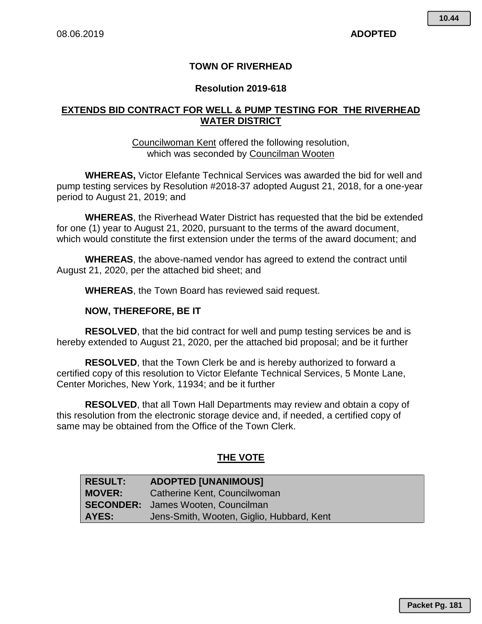# **TOWN OF RIVERHEAD**

# **Resolution 2019-618**

# **EXTENDS BID CONTRACT FOR WELL & PUMP TESTING FOR THE RIVERHEAD WATER DISTRICT**

# Councilwoman Kent offered the following resolution, which was seconded by Councilman Wooten

**WHEREAS,** Victor Elefante Technical Services was awarded the bid for well and pump testing services by Resolution #2018-37 adopted August 21, 2018, for a one-year period to August 21, 2019; and

**WHEREAS**, the Riverhead Water District has requested that the bid be extended for one (1) year to August 21, 2020, pursuant to the terms of the award document, which would constitute the first extension under the terms of the award document; and

**WHEREAS**, the above-named vendor has agreed to extend the contract until August 21, 2020, per the attached bid sheet; and

**WHEREAS**, the Town Board has reviewed said request.

# **NOW, THEREFORE, BE IT**

**RESOLVED**, that the bid contract for well and pump testing services be and is hereby extended to August 21, 2020, per the attached bid proposal; and be it further

**RESOLVED**, that the Town Clerk be and is hereby authorized to forward a certified copy of this resolution to Victor Elefante Technical Services, 5 Monte Lane, Center Moriches, New York, 11934; and be it further

**RESOLVED**, that all Town Hall Departments may review and obtain a copy of this resolution from the electronic storage device and, if needed, a certified copy of same may be obtained from the Office of the Town Clerk.

# **THE VOTE**

| <b>RESULT:</b> | <b>ADOPTED [UNANIMOUS]</b>                |
|----------------|-------------------------------------------|
| <b>MOVER:</b>  | Catherine Kent, Councilwoman              |
|                | <b>SECONDER:</b> James Wooten, Councilman |
| AYES:          | Jens-Smith, Wooten, Giglio, Hubbard, Kent |

**Packet Pg. 181**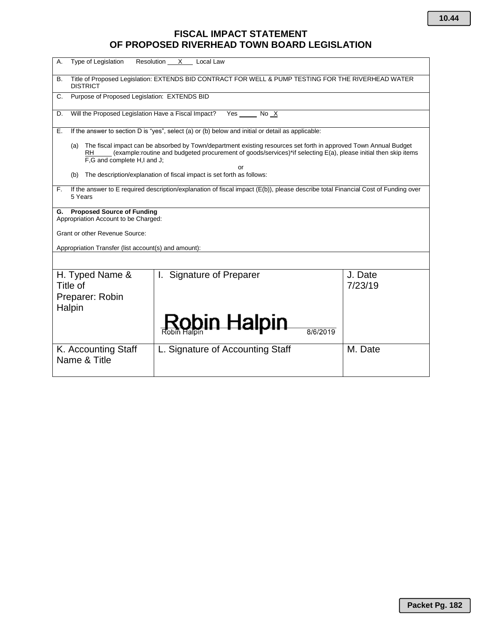# **FISCAL IMPACT STATEMENT OF PROPOSED RIVERHEAD TOWN BOARD LEGISLATION**

| А.                                                                                                                                                                                                                                                                                    | <b>Type of Legislation</b>                                                                                             | Resolution<br>X<br>Local Law     |                    |  |  |
|---------------------------------------------------------------------------------------------------------------------------------------------------------------------------------------------------------------------------------------------------------------------------------------|------------------------------------------------------------------------------------------------------------------------|----------------------------------|--------------------|--|--|
| В.                                                                                                                                                                                                                                                                                    | Title of Proposed Legislation: EXTENDS BID CONTRACT FOR WELL & PUMP TESTING FOR THE RIVERHEAD WATER<br><b>DISTRICT</b> |                                  |                    |  |  |
| C.                                                                                                                                                                                                                                                                                    | Purpose of Proposed Legislation: EXTENDS BID                                                                           |                                  |                    |  |  |
| D.                                                                                                                                                                                                                                                                                    | Will the Proposed Legislation Have a Fiscal Impact?                                                                    | Yes $\rule{1em}{0.15mm}$ No $X$  |                    |  |  |
| Е.                                                                                                                                                                                                                                                                                    | If the answer to section D is "yes", select (a) or (b) below and initial or detail as applicable:                      |                                  |                    |  |  |
| The fiscal impact can be absorbed by Town/department existing resources set forth in approved Town Annual Budget<br>(a)<br>(example:routine and budgeted procurement of goods/services)*if selecting E(a), please initial then skip items<br>RH.<br>F,G and complete H,I and J;<br>or |                                                                                                                        |                                  |                    |  |  |
| The description/explanation of fiscal impact is set forth as follows:<br>(b)                                                                                                                                                                                                          |                                                                                                                        |                                  |                    |  |  |
| If the answer to E required description/explanation of fiscal impact (E(b)), please describe total Financial Cost of Funding over<br>F.<br>5 Years                                                                                                                                    |                                                                                                                        |                                  |                    |  |  |
| <b>Proposed Source of Funding</b><br>G.<br>Appropriation Account to be Charged:                                                                                                                                                                                                       |                                                                                                                        |                                  |                    |  |  |
| <b>Grant or other Revenue Source:</b>                                                                                                                                                                                                                                                 |                                                                                                                        |                                  |                    |  |  |
| Appropriation Transfer (list account(s) and amount):                                                                                                                                                                                                                                  |                                                                                                                        |                                  |                    |  |  |
|                                                                                                                                                                                                                                                                                       |                                                                                                                        |                                  |                    |  |  |
|                                                                                                                                                                                                                                                                                       | H. Typed Name &<br>Title of                                                                                            | <b>Signature of Preparer</b>     | J. Date<br>7/23/19 |  |  |
|                                                                                                                                                                                                                                                                                       | Preparer: Robin<br>Halpin                                                                                              |                                  |                    |  |  |
|                                                                                                                                                                                                                                                                                       |                                                                                                                        | <u>b</u> in Halpin<br>8/6/2019   |                    |  |  |
|                                                                                                                                                                                                                                                                                       | K. Accounting Staff<br>Name & Title                                                                                    | L. Signature of Accounting Staff | M. Date            |  |  |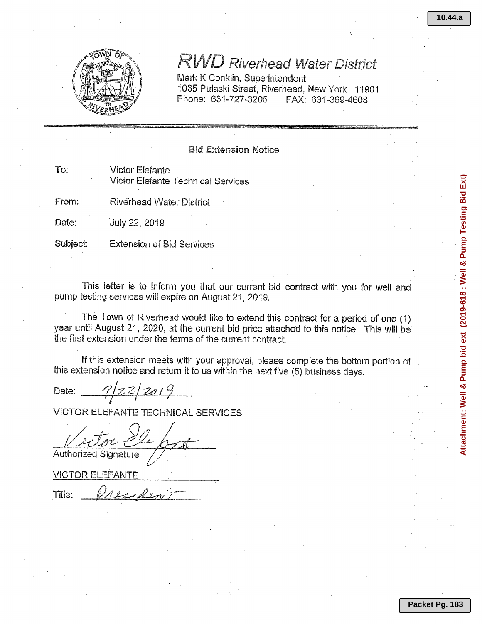Attachment: Well & Pump bid ext (2019-618 : Well & Pump Testing Bid Ext)



# **RWD Riverhead Water District**

Mark K Conklin, Superintendent 1035 Pulaski Street, Riverhead, New York 11901 Phone: 631-727-3205 FAX: 631-369-4608

# **Bid Extension Notice**

To: **Victor Elefante Victor Elefante Technical Services** 

From: **Riverhead Water District** 

Date: July 22, 2019

Subject: **Extension of Bid Services** 

This letter is to inform you that our current bid contract with you for well and pump testing services will expire on August 21, 2019.

The Town of Riverhead would like to extend this contract for a period of one (1) year until August 21, 2020, at the current bid price attached to this notice. This will be the first extension under the terms of the current contract.

If this extension meets with your approval, please complete the bottom portion of this extension notice and return it to us within the next five (5) business days.

Date:

**VICTOR ELEFANTE TECHNICAL SERVICES** 

**Authorized Signature** 

**VICTOR ELEFANTE** 

Title: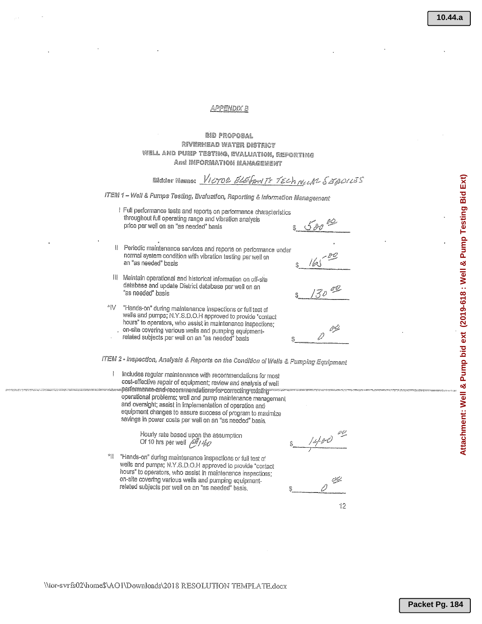## **APPENDIX B**

### **BID PROPOSAL** RIVERHEAD WATER DISTRICT WELL AND PUNP TESTING, EVALUATION, REPORTING And INFORMATION MANAGEMENT

|                                                                                       | Bidder Name: VICTOR ELEFANTE TECH NELAL SEMPLES                                                                                                                                                                                                                                                             |            |  |  |  |
|---------------------------------------------------------------------------------------|-------------------------------------------------------------------------------------------------------------------------------------------------------------------------------------------------------------------------------------------------------------------------------------------------------------|------------|--|--|--|
| ITEM 1 - Well & Pumps Testing, Evaluation, Reporting & Information Management         |                                                                                                                                                                                                                                                                                                             |            |  |  |  |
|                                                                                       | I Full performance tests and reports on performance characteristics<br>throughout full operating range and vibration analysis<br>price per well on an "as needed" basis                                                                                                                                     | $500^{60}$ |  |  |  |
| ‼                                                                                     | Periodic maintenance services and reports on performance under<br>normal system condition with vibration testing per well on<br>an "as needed" basis                                                                                                                                                        | /kJ        |  |  |  |
| III                                                                                   | Maintain operational and historical information on off-site<br>database and update District database per well on an<br>"as needed" basis                                                                                                                                                                    | $130 - 20$ |  |  |  |
| ÷lV                                                                                   | "Hands-on" during maintenance inspections or full test of<br>wells and pumps; N.Y.S.D.O.H approved to provide "contact<br>hours" to operators, who assist in maintenance inspections;<br>on-site covering various wells and pumping equipment-<br>related subjects per well on an "as needed" basis         |            |  |  |  |
| ITEM 2 - Inspection, Analysis & Reports on the Condition of Wells & Pumping Equipment |                                                                                                                                                                                                                                                                                                             |            |  |  |  |
| ł                                                                                     | Includes regular maintenance with recommendations for most<br>cost-effective repair of equipment; review and analysis of well                                                                                                                                                                               |            |  |  |  |
|                                                                                       | performance and recommendations for correcting existing<br>operational problems; well and pump maintenance management<br>and oversight; assist in implementation of operation and<br>equipment changes to assure success of program to maximize<br>savings in power costs per well on an "as needed" basis. |            |  |  |  |
|                                                                                       | laborator entre la sance de cuence de concerte en la compo                                                                                                                                                                                                                                                  | المناشئية  |  |  |  |

Hourly rate based upon the assumption<br>Of 10 hrs per well  $\stackrel{\partial F}{\partial U}$ 

لرسم مثير كحبرير ل

"Il "Hands-on" during maintenance inspections or full test of wells and pumps; N.Y.S.D.O.H approved to provide "contact" hours" to operators, who assist in maintenance inspections;<br>on-site covering various wells and pumping equipmentrelated subjects per well on an "as needed" basis.

يتعين

 $12$ 

سامعاه ومجوده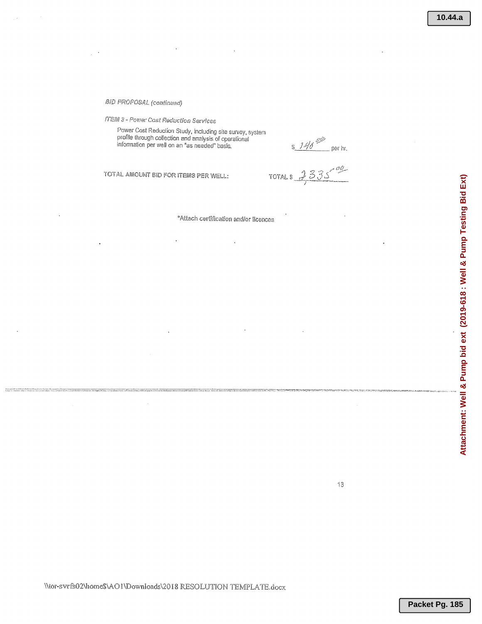#### **BID PROPOSAL (continued)**

**ITEM 3 - Power Cost Reduction Services** 

Power Cost Reduction Study, including site survey, system<br>profile through collection and analysis of operational<br>information per well on an "as needed" basis.

 $$140^{00}$  per hr.<br>TOTAL \$ 335<sup>00</sup>

TOTAL AMOUNT BID FOR ITEMS PER WELL:

\*Attach certification and/or licences

 $13$ 

\\tor-svrfs02\home\$\AO1\Downloads\2018 RESOLUTION TEMPLATE.docx